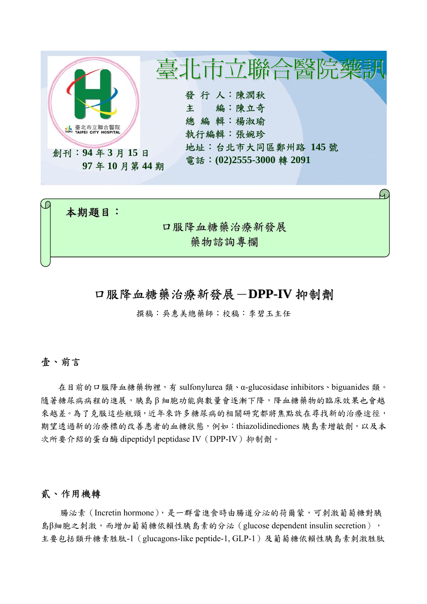

# 口服降血糖藥治療新發展-**DPP-IV** 抑制劑

撰稿:吳惠美總藥師;校稿:李碧玉主任

### 壹、前言

在目前的口服降血糖藥物裡,有 sulfonylurea 類、α-glucosidase inhibitors、biguanides 類。 隨著糖尿病病程的進展,胰島β細胞功能與數量會逐漸下降,降血糖藥物的臨床效果也會越 來越差。為了克服這些瓶頸,近年來許多糖尿病的相關研究都將焦點放在尋找新的治療途徑, 期望透過新的治療標的改善患者的血糖狀態,例如:thiazolidinediones 胰島素增敏劑,以及本 次所要介紹的蛋白酶 dipeptidyl peptidase IV(DPP-IV)抑制劑。

#### 貳、作用機轉

腸泌素(Incretin hormone),是一群當進食時由腸道分泌的荷爾蒙,可刺激葡萄糖對胰 島β細胞之刺激,而增加葡萄糖依賴性胰島素的分泌 (glucose dependent insulin secretion), 主要包括類升糖素胜肽-1(glucagons-like peptide-1, GLP-1)及葡萄糖依賴性胰島素刺激胜肽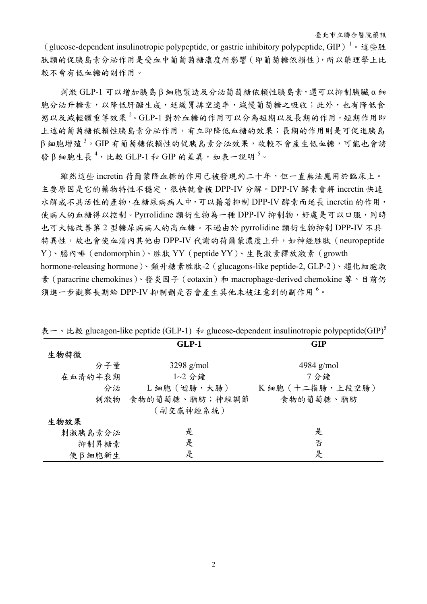(glucose-dependent insulinotropic polypeptide, or gastric inhibitory polypeptide, GIP)<sup>1</sup>。這些胜 肽類的促胰島素分泌作用是受血中葡葡萄糖濃度所影響(即葡萄糖依賴性),所以藥理學上比 較不會有低血糖的副作用。

刺激 GLP-1 可以增加胰島 β 細胞製造及分泌葡萄糖依賴性胰島素,還可以抑制胰臟 α 細 胞分泌升糖素,以降低肝醣生成,延緩胃排空速率,減慢葡萄糖之吸收;此外,也有降低食 慾以及減輕體重等效果<sup>2</sup>。GLP-1 對於血糖的作用可以分為短期以及長期的作用,短期作用即 上述的葡萄糖依賴性胰島素分泌作用,有立即降低血糖的效果;長期的作用則是可促進胰島  $\beta$ 細胞增殖 $^3$ 。GIP 有葡萄糖依賴性的促胰島素分泌效果,故較不會產生低血糖,可能也會誘 發β細胞生長<sup>4,</sup>比較 GLP-1和 GIP 的差異,如表一說明5。

雖然這些 incretin 荷爾蒙降血糖的作用已被發現約二十年,但一直無法應用於臨床上。 主要原因是它的藥物特性不穩定,很快就會被 DPP-IV 分解。DPP-IV 酵素會將 incretin 快速 水解成不具活性的產物,在糖尿病病人中,可以藉著抑制 DPP-IV 酵素而延長 incretin 的作用, 使病人的血糖得以控制。Pyrrolidine 類衍生物為一種 DPP-IV 抑制物,好處是可以口服,同時 也可大幅改善第 2 型糖尿病病人的高血糖。不過由於 pyrrolidine 類衍生物抑制 DPP-IV 不具 特異性,故也會使血清內其他由 DPP-IV 代謝的荷爾蒙濃度上升,如神經胜肽 (neuropeptide Y)、腦內啡(endomorphin)、胜肽 YY(peptide YY)、生長激素釋放激素(growth hormone-releasing hormone)、類升糖素胜肽-2(glucagons-like peptide-2, GLP-2)、趨化細胞激 素(paracrine chemokines)、發炎因子(eotaxin)和 macrophage-derived chemokine 等。目前仍 須進一步觀察長期給 DPP-IV 抑制劑是否會產生其他未被注意到的副作用<sup>6。</sup>

|         | $GLP-1$            | <b>GIP</b>       |
|---------|--------------------|------------------|
| 生物特徵    |                    |                  |
| 分子量     | $3298$ g/mol       | 4984 $g/mol$     |
| 在血清的半衰期 | $1~2~$ 分鐘          | 7分鐘              |
| 分泌      | L 細胞 (迴腸,大腸)       | K 細胞 (十二指腸,上段空腸) |
|         | 刺激物 食物的葡萄糖、脂肪;神經調節 | 食物的葡萄糖、脂肪        |
|         | (副交感神經系統)          |                  |
| 生物效果    |                    |                  |
| 刺激胰島素分泌 | 是                  | 是                |
| 抑制昇糖素   | 是                  | 否                |
| 使β細胞新生  | 是                  | 是                |

|  |  |  |  |  | 表一、比較 glucagon-like peptide (GLP-1) 和 glucose-dependent insulinotropic polypeptide(GIP) <sup>5</sup> |  |
|--|--|--|--|--|------------------------------------------------------------------------------------------------------|--|
|--|--|--|--|--|------------------------------------------------------------------------------------------------------|--|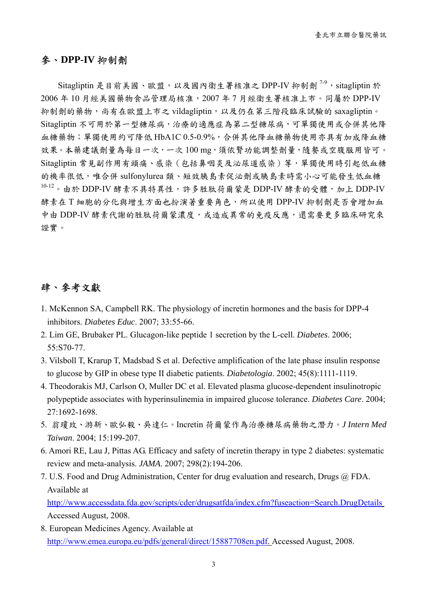### 參、**DPP-IV** 抑制劑

Sitagliptin 是目前美國、歐盟,以及國內衛生署核准之 DPP-IV 抑制劑<sup>7-9</sup>, sitagliptin 於 2006 年 10 月經美國藥物食品管理局核准,2007 年 7 月經衛生署核准上市。同屬於 DPP-IV 抑制劑的藥物,尚有在歐盟上市之 vildagliptin,以及仍在第三階段臨床試驗的 saxagliptin。 Sitagliptin 不可用於第一型糖尿病,治療的適應症為第二型糖尿病,可單獨使用或合併其他降 血糖藥物;單獨使用約可降低 HbA1C 0.5-0.9%,合併其他降血糖藥物使用亦具有加成降血糖 效果。本藥建議劑量為每日一次,一次100 mg,須依腎功能調整劑量,隨餐或空腹服用皆可。 Sitagliptin 常見副作用有頭痛、感染(包括鼻咽炎及泌尿道感染)等,單獨使用時引起低血糖 的機率很低,唯合併 sulfonylurea 類、短效胰島素促泌劑或胰島素時需小心可能發生低血糖  $10-12$ 。由於 DDP-IV 酵素不具特異性,許多胜肽荷爾蒙是 DDP-IV 酵素的受體,加上 DDP-IV 酵素在 T 細胞的分化與增生方面也扮演著重要角色,所以使用 DPP-IV 抑制劑是否會增加血 中由 DDP-IV 酵素代謝的胜肽荷爾蒙濃度,或造成異常的免疫反應,還需要更多臨床研究來 證實。

### 肆、參考文獻

- 1. McKennon SA, Campbell RK. The physiology of incretin hormones and the basis for DPP-4 inhibitors. *Diabetes Educ*. 2007; 33:55-66.
- 2. Lim GE, Brubaker PL. Glucagon-like peptide 1 secretion by the L-cell. *Diabetes*. 2006; 55:S70-77.
- 3. Vilsboll T, Krarup T, Madsbad S et al. Defective amplification of the late phase insulin response to glucose by GIP in obese type II diabetic patients. *Diabetologia*. 2002; 45(8):1111-1119.
- 4. Theodorakis MJ, Carlson O, Muller DC et al. Elevated plasma glucose-dependent insulinotropic polypeptide associates with hyperinsulinemia in impaired glucose tolerance. *Diabetes Care*. 2004; 27:1692-1698.
- 5. 翁瓊玫、游新、歐弘毅、吳達仁。Incretin 荷爾蒙作為治療糖尿病藥物之潛力。*J Intern Med Taiwan*. 2004; 15:199-207.
- 6. Amori RE, Lau J, Pittas AG. Efficacy and safety of incretin therapy in type 2 diabetes: systematic review and meta-analysis. *JAMA*. 2007; 298(2):194-206.
- 7. U.S. Food and Drug Administration, Center for drug evaluation and research, Drugs @ FDA. Available at

http://www.accessdata.fda.gov/scripts/cder/drugsatfda/index.cfm?fuseaction=Search.DrugDetails Accessed August, 2008.

8. European Medicines Agency. Available at http://www.emea.europa.eu/pdfs/general/direct/15887708en.pdf. Accessed August, 2008.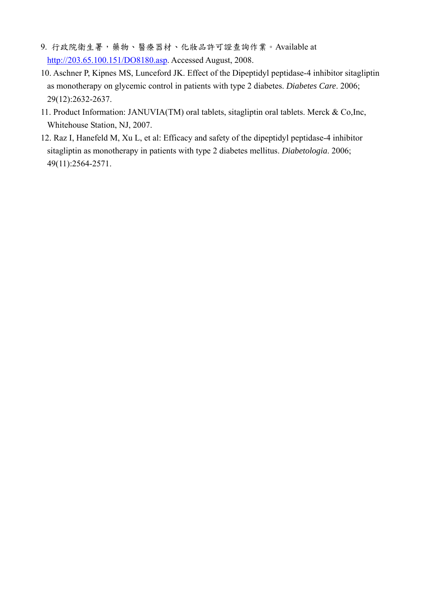- 9. 行政院衛生署,藥物、醫療器材、化妝品許可證查詢作業。Available at http://203.65.100.151/DO8180.asp. Accessed August, 2008.
- 10. Aschner P, Kipnes MS, Lunceford JK. Effect of the Dipeptidyl peptidase-4 inhibitor sitagliptin as monotherapy on glycemic control in patients with type 2 diabetes. *Diabetes Care*. 2006; 29(12):2632-2637.
- 11. Product Information: JANUVIA(TM) oral tablets, sitagliptin oral tablets. Merck & Co,Inc, Whitehouse Station, NJ, 2007.
- 12. Raz I, Hanefeld M, Xu L, et al: Efficacy and safety of the dipeptidyl peptidase-4 inhibitor sitagliptin as monotherapy in patients with type 2 diabetes mellitus. *Diabetologia*. 2006; 49(11):2564-2571.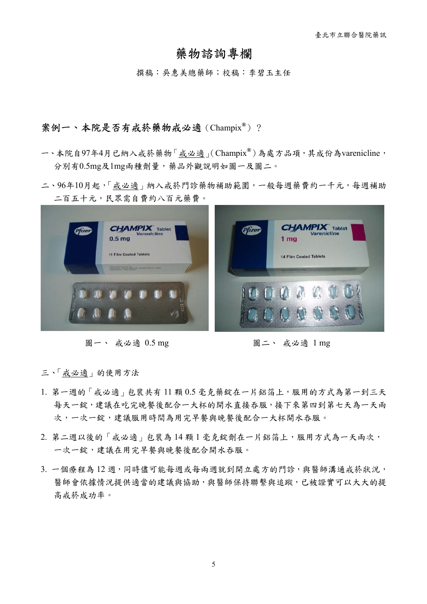## 藥物諮詢專欄

撰稿:吳惠美總藥師;校稿:李碧玉主任

#### 案例一、本院是否有戒菸藥物戒必適(Champix**®**)?

- 一、本院自97年4月已納入戒菸藥物「戒必適」(Champix**®**)為處方品項,其成份為varenicline, 分別有0.5mg及1mg兩種劑量,藥品外觀說明如圖一及圖二。
- 二、96年10月起,「戒必適」納入戒菸門診藥物補助範圍,一般每週藥費約一千元,每週補助 二百五十元,民眾需自費約八百元藥費。



圖一、 戒必適 0.5 mg 圖二、 戒必適 1 mg

三、「戒必適」的使用方法

- 1. 第一週的「戒必適」包裝共有 11 顆 0.5 毫克藥錠在一片鋁箔上,服用的方式為第一到三天 每天一錠,建議在吃完晚餐後配合一大杯的開水直接吞服,接下來第四到第七天為一天兩 次,一次一錠,建議服用時間為用完早餐與晚餐後配合一大杯開水吞服。
- 2. 第二週以後的「戒必適」包裝為 14 顆 1 毫克錠劑在一片鋁箔上,服用方式為一天兩次, 一次一錠,建議在用完早餐與晚餐後配合開水吞服。
- 3. 一個療程為12週,同時儘可能每週或每兩週就到開立處方的門診,與醫師溝通戒菸狀況, 醫師會依據情況提供適當的建議與協助,與醫師保持聯繫與追蹤,已被證實可以大大的提 高戒菸成功率。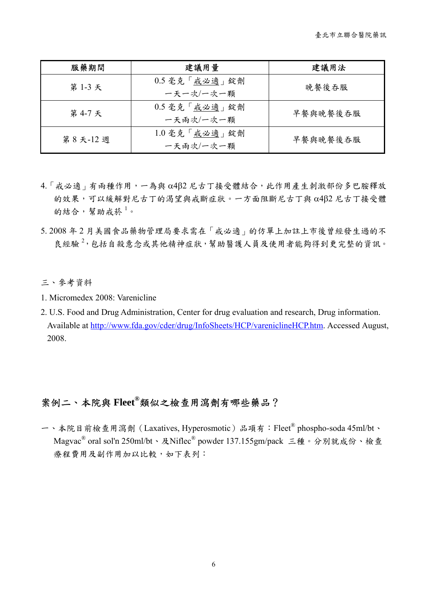| 服藥期間    | 建議用量                       | 建議用法     |
|---------|----------------------------|----------|
| 第1-3天   | 0.5 毫克「戒必適」錠劑<br>一天一次/一次一顆 | 晚餐後吞服    |
| 第 4-7 天 | 0.5 毫克「戒必適」錠劑<br>一天兩次/一次一顆 | 早餐與晚餐後吞服 |
| 第8天-12週 | 1.0 毫克「戒必適」錠劑<br>一天兩次/一次一顆 | 早餐與晚餐後吞服 |

- $4.$ 「戒必適」有兩種作用,一為與 α4β2 尼古丁接受體結合,此作用產生刺激部份多巴胺釋放 的效果,可以緩解對尼古丁的渴望與戒斷症狀。一方面阻斷尼古丁與 α4β2 尼古丁接受體 的結合,幫助戒菸<sup>1</sup>。
- 5. 2008 年 2 月美國食品藥物管理局要求需在「戒必適」的仿單上加註上市後曾經發生過的不 良經驗<sup>2,</sup>包括自殺意念或其他精神症狀,幫助醫護人員及使用者能夠得到更完整的資訊。

三、參考資料

- 1. Micromedex 2008: Varenicline
- 2. U.S. Food and Drug Administration, Center for drug evaluation and research, Drug information. Available at http://www.fda.gov/cder/drug/InfoSheets/HCP/vareniclineHCP.htm. Accessed August, 2008.

## 案例二、本院與 **Fleet®**類似之檢查用瀉劑有哪些藥品?

一、本院目前檢查用瀉劑(Laxatives, Hyperosmotic)品項有:Fleet® phospho-soda 45ml/bt、 Magvac® oral sol'n 250ml/bt、及Niflec® powder 137.155gm/pack 三種。分別就成份、檢查 療程費用及副作用加以比較,如下表列: